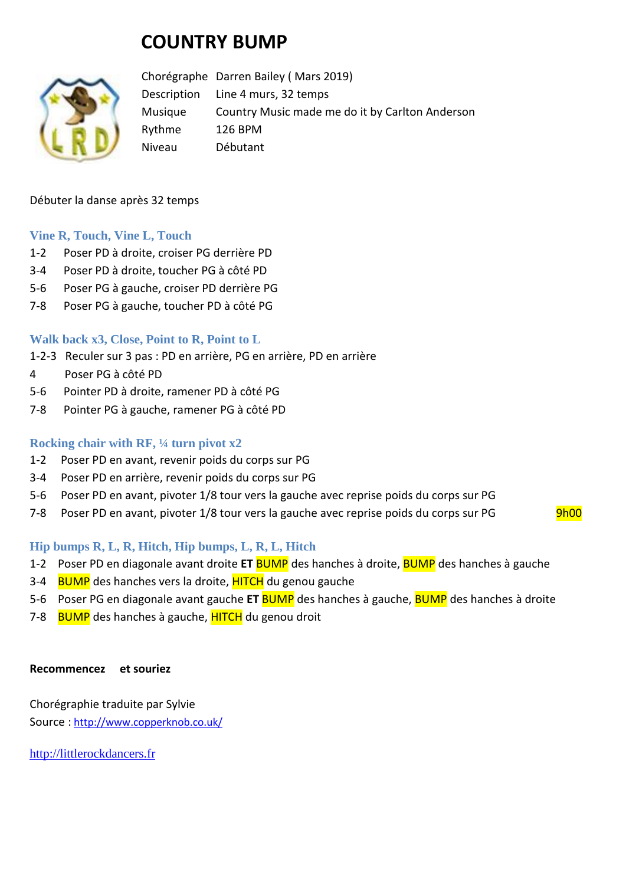# **COUNTRY BUMP**



Chorégraphe Darren Bailey ( Mars 2019) Description Line 4 murs, 32 temps Musique Country Music made me do it by Carlton Anderson Rythme 126 BPM Niveau Débutant

#### Débuter la danse après 32 temps

#### **Vine R, Touch, Vine L, Touch**

- 1-2 Poser PD à droite, croiser PG derrière PD
- 3-4 Poser PD à droite, toucher PG à côté PD
- 5-6 Poser PG à gauche, croiser PD derrière PG
- 7-8 Poser PG à gauche, toucher PD à côté PG

### **Walk back x3, Close, Point to R, Point to L**

- 1-2-3 Reculer sur 3 pas : PD en arrière, PG en arrière, PD en arrière
- 4 Poser PG à côté PD
- 5-6 Pointer PD à droite, ramener PD à côté PG
- 7-8 Pointer PG à gauche, ramener PG à côté PD

#### **Rocking chair with RF, ¼ turn pivot x2**

- 1-2 Poser PD en avant, revenir poids du corps sur PG
- 3-4 Poser PD en arrière, revenir poids du corps sur PG
- 5-6 Poser PD en avant, pivoter 1/8 tour vers la gauche avec reprise poids du corps sur PG
- 7-8 Poser PD en avant, pivoter 1/8 tour vers la gauche avec reprise poids du corps sur PG 9h00

#### **Hip bumps R, L, R, Hitch, Hip bumps, L, R, L, Hitch**

- 1-2 Poser PD en diagonale avant droite **ET** BUMP des hanches à droite, BUMP des hanches à gauche
- 3-4 BUMP des hanches vers la droite, **HITCH** du genou gauche
- 5-6 Poser PG en diagonale avant gauche **ET** BUMP des hanches à gauche, BUMP des hanches à droite
- 7-8 BUMP des hanches à gauche, HITCH du genou droit

#### **Recommencez et souriez**

Chorégraphie traduite par Sylvie Source : [http://www.copperknob.co.uk/](https://www.copperknob.co.uk/) 

[http://littlerockdancers.fr](http://littlerockdancers.fr/)